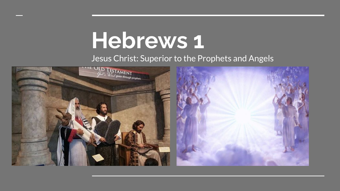## **Hebrews 1**

Jesus Christ: Superior to the Prophets and Angels

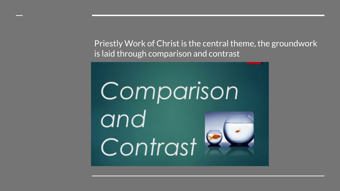Priestly Work of Christ is the central theme, the groundwork is laid through comparison and contrast

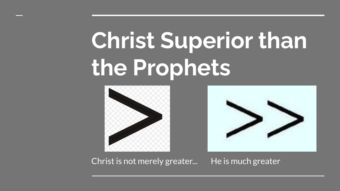# **Christ Superior than the Prophets**





Christ is not merely greater... He is much greater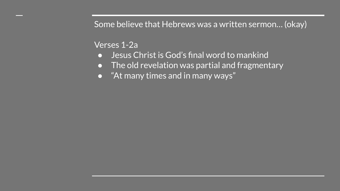Some believe that Hebrews was a written sermon… (okay)

#### Verses 1-2a

- Jesus Christ is God's final word to mankind
- The old revelation was partial and fragmentary
- "At many times and in many ways"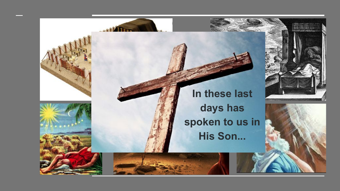





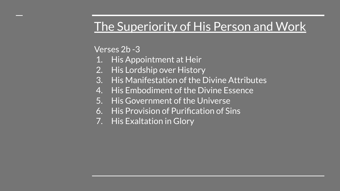#### The Superiority of His Person and Work

Verses 2b -3

- 1. His Appointment at Heir
- 2. His Lordship over History
- 3. His Manifestation of the Divine Attributes
- 4. His Embodiment of the Divine Essence
- 5. His Government of the Universe
- 6. His Provision of Purification of Sins
- 7. His Exaltation in Glory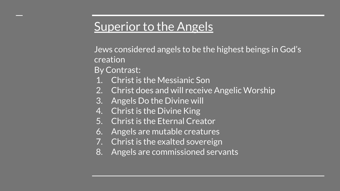#### **Superior to the Angels**

Jews considered angels to be the highest beings in God's creation

By Contrast:

- 1. Christ is the Messianic Son
- 2. Christ does and will receive Angelic Worship
- 3. Angels Do the Divine will
- 4. Christ is the Divine King
- 5. Christ is the Eternal Creator
- 6. Angels are mutable creatures
- 7. Christ is the exalted sovereign
- 8. Angels are commissioned servants